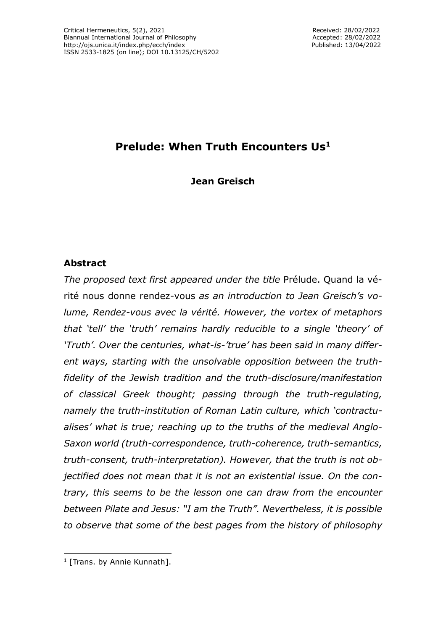# **Prelude: When Truth Encounters Us<sup>1</sup>**

**Jean Greisch**

## **Abstract**

*The proposed text first appeared under the title* Prélude. Quand la vérité nous donne rendez-vous *as an introduction to Jean Greisch's volume, Rendez-vous avec la vérité. However, the vortex of metaphors that 'tell' the 'truth' remains hardly reducible to a single 'theory' of 'Truth'. Over the centuries, what-is-'true' has been said in many different ways, starting with the unsolvable opposition between the truthfidelity of the Jewish tradition and the truth-disclosure/manifestation of classical Greek thought; passing through the truth-regulating, namely the truth-institution of Roman Latin culture, which 'contractualises' what is true; reaching up to the truths of the medieval Anglo-Saxon world (truth-correspondence, truth-coherence, truth-semantics, truth-consent, truth-interpretation). However, that the truth is not objectified does not mean that it is not an existential issue. On the contrary, this seems to be the lesson one can draw from the encounter between Pilate and Jesus: "I am the Truth". Nevertheless, it is possible to observe that some of the best pages from the history of philosophy*

<sup>&</sup>lt;sup>1</sup> [Trans. by Annie Kunnath].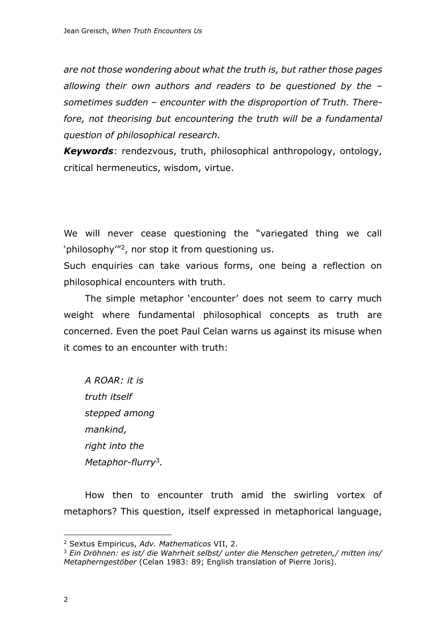*are not those wondering about what the truth is, but rather those pages allowing their own authors and readers to be questioned by the – sometimes sudden – encounter with the disproportion of Truth. Therefore, not theorising but encountering the truth will be a fundamental question of philosophical research.*

*Keywords*: rendezvous, truth, philosophical anthropology, ontology, critical hermeneutics, wisdom, virtue.

We will never cease questioning the "variegated thing we call 'philosophy'"<sup>2</sup> , nor stop it from questioning us.

Such enquiries can take various forms, one being a reflection on philosophical encounters with truth.

The simple metaphor 'encounter' does not seem to carry much weight where fundamental philosophical concepts as truth are concerned. Even the poet Paul Celan warns us against its misuse when it comes to an encounter with truth:

*A ROAR: it is truth itself stepped among mankind, right into the Metaphor-flurry*<sup>3</sup> *.*

How then to encounter truth amid the swirling vortex of metaphors? This question, itself expressed in metaphorical language,

<sup>2</sup> Sextus Empiricus, *Adv. Mathematicos* VII, 2.

<sup>3</sup> *Ein Dröhnen: es ist/ die Wahrheit selbst/ unter die Menschen getreten,/ mitten ins/ Metapherngestöber* (Celan 1983: 89; English translation of Pierre Joris).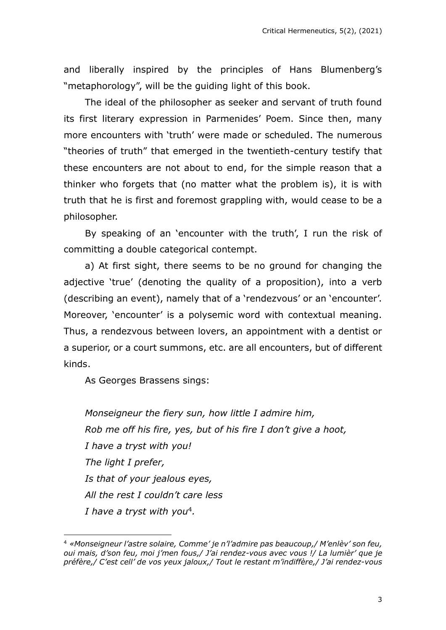and liberally inspired by the principles of Hans Blumenberg's "metaphorology", will be the guiding light of this book.

The ideal of the philosopher as seeker and servant of truth found its first literary expression in Parmenides' Poem. Since then, many more encounters with 'truth' were made or scheduled. The numerous "theories of truth" that emerged in the twentieth-century testify that these encounters are not about to end, for the simple reason that a thinker who forgets that (no matter what the problem is), it is with truth that he is first and foremost grappling with, would cease to be a philosopher.

By speaking of an 'encounter with the truth', I run the risk of committing a double categorical contempt.

a) At first sight, there seems to be no ground for changing the adjective 'true' (denoting the quality of a proposition), into a verb (describing an event), namely that of a 'rendezvous' or an 'encounter'. Moreover, 'encounter' is a polysemic word with contextual meaning. Thus, a rendezvous between lovers, an appointment with a dentist or a superior, or a court summons, etc. are all encounters, but of different kinds.

As Georges Brassens sings:

*Monseigneur the fiery sun, how little I admire him, Rob me off his fire, yes, but of his fire I don't give a hoot, I have a tryst with you! The light I prefer, Is that of your jealous eyes, All the rest I couldn't care less I have a tryst with you*<sup>4</sup> *.*

<sup>4</sup> *«Monseigneur l'astre solaire, Comme' je n'l'admire pas beaucoup,/ M'enlèv' son feu, oui mais, d'son feu, moi j'men fous,/ J'ai rendez-vous avec vous !/ La lumièr' que je préfère,/ C'est cell' de vos yeux jaloux,/ Tout le restant m'indiffère,/ J'ai rendez-vous*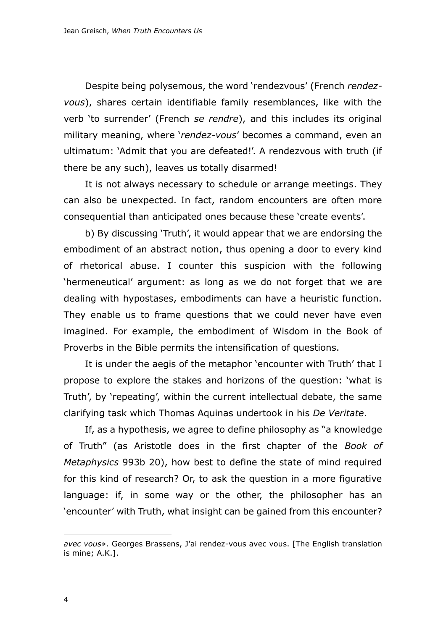Despite being polysemous, the word 'rendezvous' (French *rendezvous*), shares certain identifiable family resemblances, like with the verb 'to surrender' (French *se rendre*), and this includes its original military meaning, where '*rendez-vous*' becomes a command, even an ultimatum: 'Admit that you are defeated!'. A rendezvous with truth (if there be any such), leaves us totally disarmed!

It is not always necessary to schedule or arrange meetings. They can also be unexpected. In fact, random encounters are often more consequential than anticipated ones because these 'create events'.

b) By discussing 'Truth', it would appear that we are endorsing the embodiment of an abstract notion, thus opening a door to every kind of rhetorical abuse. I counter this suspicion with the following 'hermeneutical' argument: as long as we do not forget that we are dealing with hypostases, embodiments can have a heuristic function. They enable us to frame questions that we could never have even imagined. For example, the embodiment of Wisdom in the Book of Proverbs in the Bible permits the intensification of questions.

It is under the aegis of the metaphor 'encounter with Truth' that I propose to explore the stakes and horizons of the question: 'what is Truth', by 'repeating', within the current intellectual debate, the same clarifying task which Thomas Aquinas undertook in his *De Veritate*.

If, as a hypothesis, we agree to define philosophy as "a knowledge of Truth" (as Aristotle does in the first chapter of the *Book of Metaphysics* 993b 20), how best to define the state of mind required for this kind of research? Or, to ask the question in a more figurative language: if, in some way or the other, the philosopher has an 'encounter' with Truth, what insight can be gained from this encounter?

*avec vous*». Georges Brassens, J'ai rendez-vous avec vous. [The English translation is mine; A.K.].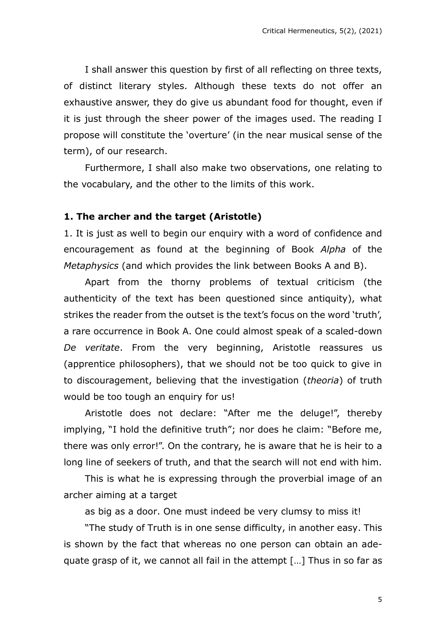I shall answer this question by first of all reflecting on three texts, of distinct literary styles. Although these texts do not offer an exhaustive answer, they do give us abundant food for thought, even if it is just through the sheer power of the images used. The reading I propose will constitute the 'overture' (in the near musical sense of the term), of our research.

Furthermore, I shall also make two observations, one relating to the vocabulary, and the other to the limits of this work.

#### **1. The archer and the target (Aristotle)**

1. It is just as well to begin our enquiry with a word of confidence and encouragement as found at the beginning of Book *Alpha* of the *Metaphysics* (and which provides the link between Books A and B).

Apart from the thorny problems of textual criticism (the authenticity of the text has been questioned since antiquity), what strikes the reader from the outset is the text's focus on the word 'truth', a rare occurrence in Book A. One could almost speak of a scaled-down *De veritate*. From the very beginning, Aristotle reassures us (apprentice philosophers), that we should not be too quick to give in to discouragement, believing that the investigation (*theoria*) of truth would be too tough an enquiry for us!

Aristotle does not declare: "After me the deluge!", thereby implying, "I hold the definitive truth"; nor does he claim: "Before me, there was only error!". On the contrary, he is aware that he is heir to a long line of seekers of truth, and that the search will not end with him.

This is what he is expressing through the proverbial image of an archer aiming at a target

as big as a door. One must indeed be very clumsy to miss it!

"The study of Truth is in one sense difficulty, in another easy. This is shown by the fact that whereas no one person can obtain an adequate grasp of it, we cannot all fail in the attempt […] Thus in so far as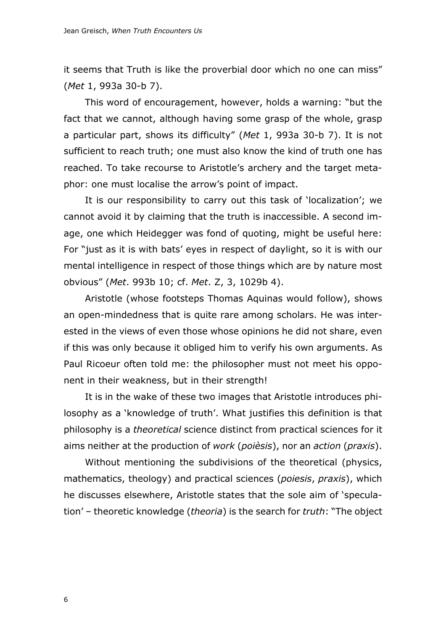it seems that Truth is like the proverbial door which no one can miss" (*Met* 1, 993a 30-b 7).

This word of encouragement, however, holds a warning: "but the fact that we cannot, although having some grasp of the whole, grasp a particular part, shows its difficulty" (*Met* 1, 993a 30-b 7). It is not sufficient to reach truth; one must also know the kind of truth one has reached. To take recourse to Aristotle's archery and the target metaphor: one must localise the arrow's point of impact.

It is our responsibility to carry out this task of 'localization'; we cannot avoid it by claiming that the truth is inaccessible. A second image, one which Heidegger was fond of quoting, might be useful here: For "just as it is with bats' eyes in respect of daylight, so it is with our mental intelligence in respect of those things which are by nature most obvious" (*Met*. 993b 10; cf. *Met*. Z, 3, 1029b 4).

Aristotle (whose footsteps Thomas Aquinas would follow), shows an open-mindedness that is quite rare among scholars. He was interested in the views of even those whose opinions he did not share, even if this was only because it obliged him to verify his own arguments. As Paul Ricoeur often told me: the philosopher must not meet his opponent in their weakness, but in their strength!

It is in the wake of these two images that Aristotle introduces philosophy as a 'knowledge of truth'. What justifies this definition is that philosophy is a *theoretical* science distinct from practical sciences for it aims neither at the production of *work* (*poièsis*), nor an *action* (*praxis*).

Without mentioning the subdivisions of the theoretical (physics, mathematics, theology) and practical sciences (*poiesis*, *praxis*), which he discusses elsewhere, Aristotle states that the sole aim of 'speculation' – theoretic knowledge (*theoria*) is the search for *truth*: "The object

6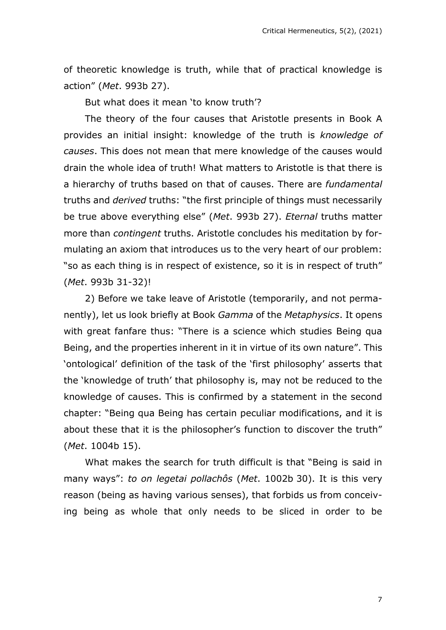of theoretic knowledge is truth, while that of practical knowledge is action" (*Met*. 993b 27).

But what does it mean 'to know truth'?

The theory of the four causes that Aristotle presents in Book A provides an initial insight: knowledge of the truth is *knowledge of causes*. This does not mean that mere knowledge of the causes would drain the whole idea of truth! What matters to Aristotle is that there is a hierarchy of truths based on that of causes. There are *fundamental* truths and *derived* truths: "the first principle of things must necessarily be true above everything else" (*Met*. 993b 27). *Eternal* truths matter more than *contingent* truths. Aristotle concludes his meditation by formulating an axiom that introduces us to the very heart of our problem: "so as each thing is in respect of existence, so it is in respect of truth" (*Met*. 993b 31-32)!

2) Before we take leave of Aristotle (temporarily, and not permanently), let us look briefly at Book *Gamma* of the *Metaphysics*. It opens with great fanfare thus: "There is a science which studies Being qua Being, and the properties inherent in it in virtue of its own nature". This 'ontological' definition of the task of the 'first philosophy' asserts that the 'knowledge of truth' that philosophy is, may not be reduced to the knowledge of causes. This is confirmed by a statement in the second chapter: "Being qua Being has certain peculiar modifications, and it is about these that it is the philosopher's function to discover the truth" (*Met*. 1004b 15).

What makes the search for truth difficult is that "Being is said in many ways": *to on legetai pollachôs* (*Met*. 1002b 30). It is this very reason (being as having various senses), that forbids us from conceiving being as whole that only needs to be sliced in order to be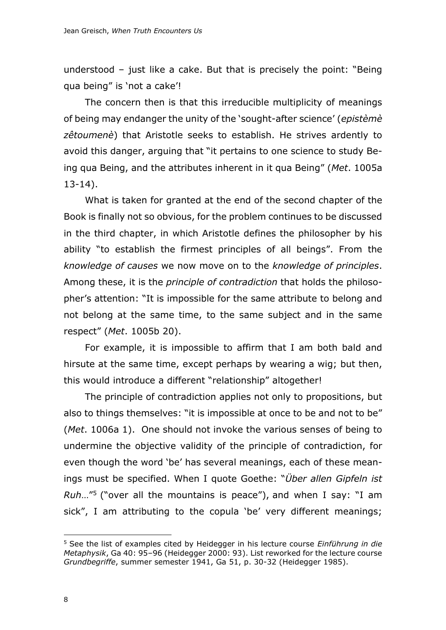understood – just like a cake. But that is precisely the point: "Being qua being" is 'not a cake'!

The concern then is that this irreducible multiplicity of meanings of being may endanger the unity of the 'sought-after science' (*epistèmè zêtoumenè*) that Aristotle seeks to establish. He strives ardently to avoid this danger, arguing that "it pertains to one science to study Being qua Being, and the attributes inherent in it qua Being" (*Met*. 1005a 13-14).

What is taken for granted at the end of the second chapter of the Book is finally not so obvious, for the problem continues to be discussed in the third chapter, in which Aristotle defines the philosopher by his ability "to establish the firmest principles of all beings". From the *knowledge of causes* we now move on to the *knowledge of principles*. Among these, it is the *principle of contradiction* that holds the philosopher's attention: "It is impossible for the same attribute to belong and not belong at the same time, to the same subject and in the same respect" (*Met*. 1005b 20).

For example, it is impossible to affirm that I am both bald and hirsute at the same time, except perhaps by wearing a wig; but then, this would introduce a different "relationship" altogether!

The principle of contradiction applies not only to propositions, but also to things themselves: "it is impossible at once to be and not to be" (*Met*. 1006a 1). One should not invoke the various senses of being to undermine the objective validity of the principle of contradiction, for even though the word 'be' has several meanings, each of these meanings must be specified. When I quote Goethe: "*Über allen Gipfeln ist Ruh*…"<sup>5</sup> ("over all the mountains is peace"), and when I say: "I am sick", I am attributing to the copula 'be' very different meanings;

<sup>5</sup> See the list of examples cited by Heidegger in his lecture course *Einführung in die Metaphysik*, Ga 40: 95–96 (Heidegger 2000: 93). List reworked for the lecture course *Grundbegriffe*, summer semester 1941, Ga 51, p. 30-32 (Heidegger 1985).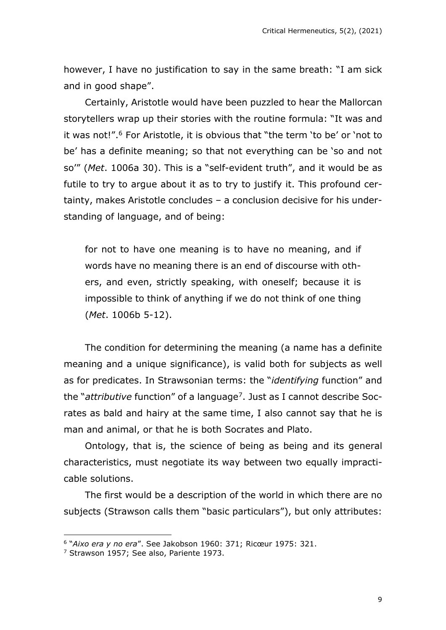however, I have no justification to say in the same breath: "I am sick and in good shape".

Certainly, Aristotle would have been puzzled to hear the Mallorcan storytellers wrap up their stories with the routine formula: "It was and it was not!".<sup>6</sup> For Aristotle, it is obvious that "the term 'to be' or 'not to be' has a definite meaning; so that not everything can be 'so and not so'" (*Met*. 1006a 30). This is a "self-evident truth", and it would be as futile to try to argue about it as to try to justify it. This profound certainty, makes Aristotle concludes – a conclusion decisive for his understanding of language, and of being:

for not to have one meaning is to have no meaning, and if words have no meaning there is an end of discourse with others, and even, strictly speaking, with oneself; because it is impossible to think of anything if we do not think of one thing (*Met*. 1006b 5-12).

The condition for determining the meaning (a name has a definite meaning and a unique significance), is valid both for subjects as well as for predicates. In Strawsonian terms: the "*identifying* function" and the "*attributive* function" of a language<sup>7</sup>. Just as I cannot describe Socrates as bald and hairy at the same time, I also cannot say that he is man and animal, or that he is both Socrates and Plato.

Ontology, that is, the science of being as being and its general characteristics, must negotiate its way between two equally impracticable solutions.

The first would be a description of the world in which there are no subjects (Strawson calls them "basic particulars"), but only attributes:

<sup>6</sup> "*Aixo era y no era*". See Jakobson 1960: 371; Ricœur 1975: 321.

<sup>&</sup>lt;sup>7</sup> Strawson 1957; See also, Pariente 1973.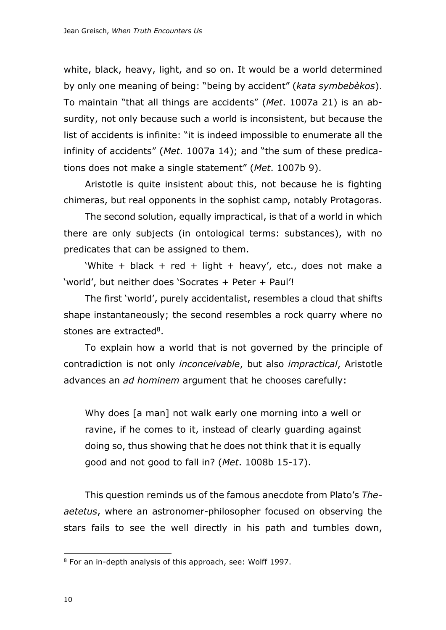white, black, heavy, light, and so on. It would be a world determined by only one meaning of being: "being by accident" (*kata symbebèkos*). To maintain "that all things are accidents" (*Met*. 1007a 21) is an absurdity, not only because such a world is inconsistent, but because the list of accidents is infinite: "it is indeed impossible to enumerate all the infinity of accidents" (*Met*. 1007a 14); and "the sum of these predications does not make a single statement" (*Met*. 1007b 9).

Aristotle is quite insistent about this, not because he is fighting chimeras, but real opponents in the sophist camp, notably Protagoras.

The second solution, equally impractical, is that of a world in which there are only subjects (in ontological terms: substances), with no predicates that can be assigned to them.

'White + black + red + light + heavy', etc., does not make a 'world', but neither does 'Socrates + Peter + Paul'!

The first 'world', purely accidentalist, resembles a cloud that shifts shape instantaneously; the second resembles a rock quarry where no stones are extracted<sup>8</sup>.

To explain how a world that is not governed by the principle of contradiction is not only *inconceivable*, but also *impractical*, Aristotle advances an *ad hominem* argument that he chooses carefully:

Why does [a man] not walk early one morning into a well or ravine, if he comes to it, instead of clearly guarding against doing so, thus showing that he does not think that it is equally good and not good to fall in? (*Met*. 1008b 15-17).

This question reminds us of the famous anecdote from Plato's *Theaetetus*, where an astronomer-philosopher focused on observing the stars fails to see the well directly in his path and tumbles down,

<sup>8</sup> For an in-depth analysis of this approach, see: Wolff 1997.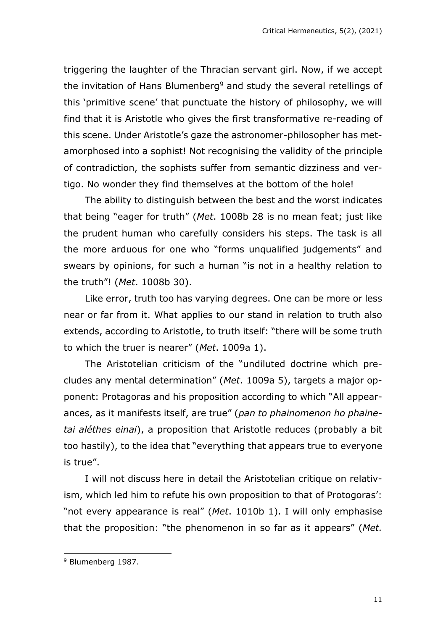triggering the laughter of the Thracian servant girl. Now, if we accept the invitation of Hans Blumenberg<sup>9</sup> and study the several retellings of this 'primitive scene' that punctuate the history of philosophy, we will find that it is Aristotle who gives the first transformative re-reading of this scene. Under Aristotle's gaze the astronomer-philosopher has metamorphosed into a sophist! Not recognising the validity of the principle of contradiction, the sophists suffer from semantic dizziness and vertigo. No wonder they find themselves at the bottom of the hole!

The ability to distinguish between the best and the worst indicates that being "eager for truth" (*Met*. 1008b 28 is no mean feat; just like the prudent human who carefully considers his steps. The task is all the more arduous for one who "forms unqualified judgements" and swears by opinions, for such a human "is not in a healthy relation to the truth"! (*Met*. 1008b 30).

Like error, truth too has varying degrees. One can be more or less near or far from it. What applies to our stand in relation to truth also extends, according to Aristotle, to truth itself: "there will be some truth to which the truer is nearer" (*Met*. 1009a 1).

The Aristotelian criticism of the "undiluted doctrine which precludes any mental determination" (*Met*. 1009a 5), targets a major opponent: Protagoras and his proposition according to which "All appearances, as it manifests itself, are true" (*pan to phainomenon ho phainetai aléthes einai*), a proposition that Aristotle reduces (probably a bit too hastily), to the idea that "everything that appears true to everyone is true".

I will not discuss here in detail the Aristotelian critique on relativism, which led him to refute his own proposition to that of Protogoras': "not every appearance is real" (*Met*. 1010b 1). I will only emphasise that the proposition: "the phenomenon in so far as it appears" (*Met.*

<sup>9</sup> Blumenberg 1987.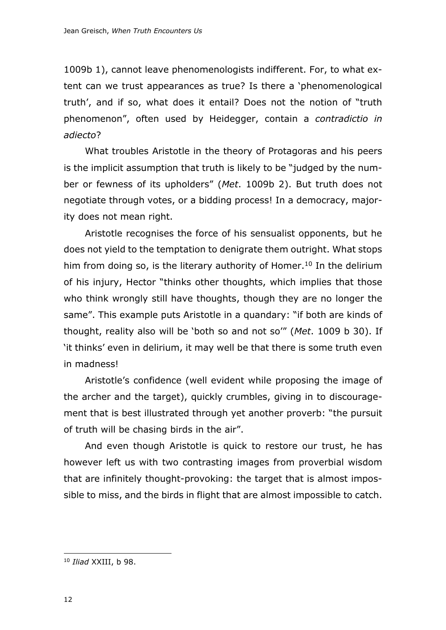1009b 1), cannot leave phenomenologists indifferent. For, to what extent can we trust appearances as true? Is there a 'phenomenological truth', and if so, what does it entail? Does not the notion of "truth phenomenon", often used by Heidegger, contain a *contradictio in adiecto*?

What troubles Aristotle in the theory of Protagoras and his peers is the implicit assumption that truth is likely to be "judged by the number or fewness of its upholders" (*Met*. 1009b 2). But truth does not negotiate through votes, or a bidding process! In a democracy, majority does not mean right.

Aristotle recognises the force of his sensualist opponents, but he does not yield to the temptation to denigrate them outright. What stops him from doing so, is the literary authority of Homer.<sup>10</sup> In the delirium of his injury, Hector "thinks other thoughts, which implies that those who think wrongly still have thoughts, though they are no longer the same". This example puts Aristotle in a quandary: "if both are kinds of thought, reality also will be 'both so and not so'" (*Met*. 1009 b 30). If 'it thinks' even in delirium, it may well be that there is some truth even in madness!

Aristotle's confidence (well evident while proposing the image of the archer and the target), quickly crumbles, giving in to discouragement that is best illustrated through yet another proverb: "the pursuit of truth will be chasing birds in the air".

And even though Aristotle is quick to restore our trust, he has however left us with two contrasting images from proverbial wisdom that are infinitely thought-provoking: the target that is almost impossible to miss, and the birds in flight that are almost impossible to catch.

<sup>10</sup> *Iliad* XXIII, b 98.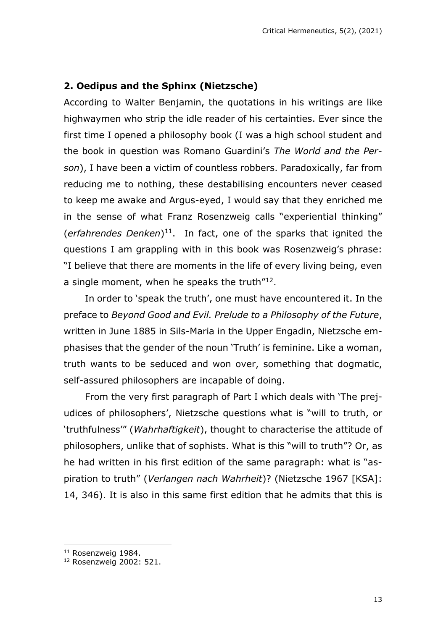## **2. Oedipus and the Sphinx (Nietzsche)**

According to Walter Benjamin, the quotations in his writings are like highwaymen who strip the idle reader of his certainties. Ever since the first time I opened a philosophy book (I was a high school student and the book in question was Romano Guardini's *The World and the Person*), I have been a victim of countless robbers. Paradoxically, far from reducing me to nothing, these destabilising encounters never ceased to keep me awake and Argus-eyed, I would say that they enriched me in the sense of what Franz Rosenzweig calls "experiential thinking" (*erfahrendes Denken*) 11 . In fact, one of the sparks that ignited the questions I am grappling with in this book was Rosenzweig's phrase: "I believe that there are moments in the life of every living being, even a single moment, when he speaks the truth"<sup>12</sup>.

In order to 'speak the truth', one must have encountered it. In the preface to *Beyond Good and Evil. Prelude to a Philosophy of the Future*, written in June 1885 in Sils-Maria in the Upper Engadin, Nietzsche emphasises that the gender of the noun 'Truth' is feminine. Like a woman, truth wants to be seduced and won over, something that dogmatic, self-assured philosophers are incapable of doing.

From the very first paragraph of Part I which deals with 'The prejudices of philosophers', Nietzsche questions what is "will to truth, or 'truthfulness'" (*Wahrhaftigkeit*), thought to characterise the attitude of philosophers, unlike that of sophists. What is this "will to truth"? Or, as he had written in his first edition of the same paragraph: what is "aspiration to truth" (*Verlangen nach Wahrheit*)? (Nietzsche 1967 [KSA]: 14, 346). It is also in this same first edition that he admits that this is

<sup>&</sup>lt;sup>11</sup> Rosenzweig 1984.

<sup>12</sup> Rosenzweig 2002: 521.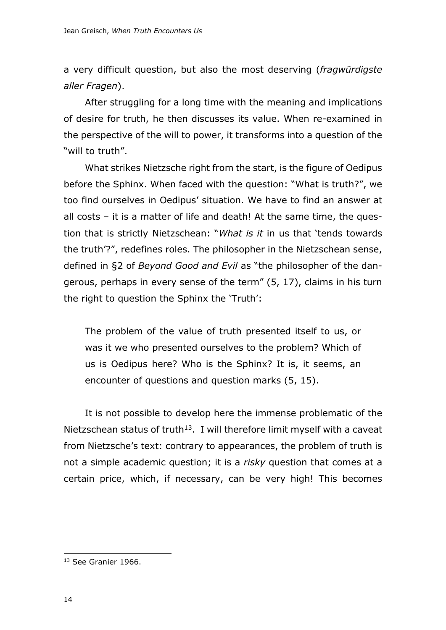a very difficult question, but also the most deserving (*fragwürdigste aller Fragen*).

After struggling for a long time with the meaning and implications of desire for truth, he then discusses its value. When re-examined in the perspective of the will to power, it transforms into a question of the "will to truth".

What strikes Nietzsche right from the start, is the figure of Oedipus before the Sphinx. When faced with the question: "What is truth?", we too find ourselves in Oedipus' situation. We have to find an answer at all costs – it is a matter of life and death! At the same time, the question that is strictly Nietzschean: "*What is it* in us that 'tends towards the truth'?", redefines roles. The philosopher in the Nietzschean sense, defined in §2 of *Beyond Good and Evil* as "the philosopher of the dangerous, perhaps in every sense of the term" (5, 17), claims in his turn the right to question the Sphinx the 'Truth':

The problem of the value of truth presented itself to us, or was it we who presented ourselves to the problem? Which of us is Oedipus here? Who is the Sphinx? It is, it seems, an encounter of questions and question marks (5, 15).

It is not possible to develop here the immense problematic of the Nietzschean status of truth<sup>13</sup>. I will therefore limit myself with a caveat from Nietzsche's text: contrary to appearances, the problem of truth is not a simple academic question; it is a *risky* question that comes at a certain price, which, if necessary, can be very high! This becomes

<sup>13</sup> See Granier 1966.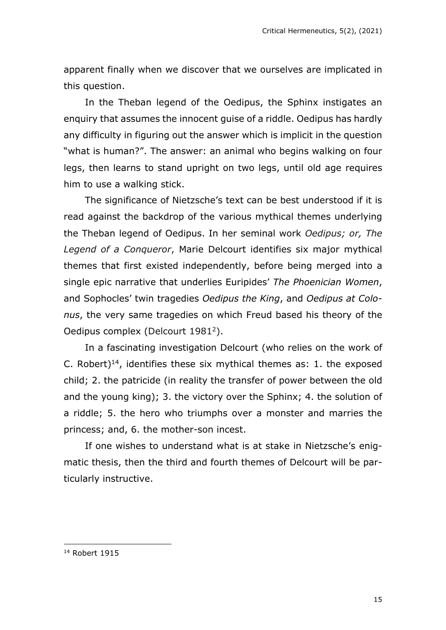apparent finally when we discover that we ourselves are implicated in this question.

In the Theban legend of the Oedipus, the Sphinx instigates an enquiry that assumes the innocent guise of a riddle. Oedipus has hardly any difficulty in figuring out the answer which is implicit in the question "what is human?". The answer: an animal who begins walking on four legs, then learns to stand upright on two legs, until old age requires him to use a walking stick.

The significance of Nietzsche's text can be best understood if it is read against the backdrop of the various mythical themes underlying the Theban legend of Oedipus. In her seminal work *Oedipus; or, The Legend of a Conqueror*, Marie Delcourt identifies six major mythical themes that first existed independently, before being merged into a single epic narrative that underlies Euripides' *The Phoenician Women*, and Sophocles' twin tragedies *Oedipus the King*, and *Oedipus at Colonus*, the very same tragedies on which Freud based his theory of the Oedipus complex (Delcourt 1981<sup>2</sup>).

In a fascinating investigation Delcourt (who relies on the work of C. Robert)<sup>14</sup>, identifies these six mythical themes as: 1. the exposed child; 2. the patricide (in reality the transfer of power between the old and the young king); 3. the victory over the Sphinx; 4. the solution of a riddle; 5. the hero who triumphs over a monster and marries the princess; and, 6. the mother-son incest.

If one wishes to understand what is at stake in Nietzsche's enigmatic thesis, then the third and fourth themes of Delcourt will be particularly instructive.

<sup>14</sup> Robert 1915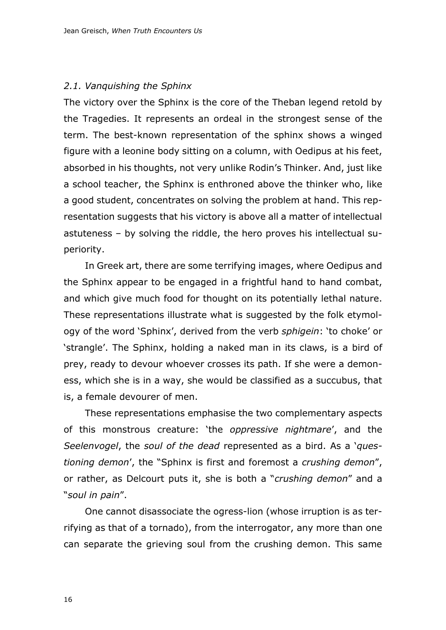#### *2.1. Vanquishing the Sphinx*

The victory over the Sphinx is the core of the Theban legend retold by the Tragedies. It represents an ordeal in the strongest sense of the term. The best-known representation of the sphinx shows a winged figure with a leonine body sitting on a column, with Oedipus at his feet, absorbed in his thoughts, not very unlike Rodin's Thinker. And, just like a school teacher, the Sphinx is enthroned above the thinker who, like a good student, concentrates on solving the problem at hand. This representation suggests that his victory is above all a matter of intellectual astuteness – by solving the riddle, the hero proves his intellectual superiority.

In Greek art, there are some terrifying images, where Oedipus and the Sphinx appear to be engaged in a frightful hand to hand combat, and which give much food for thought on its potentially lethal nature. These representations illustrate what is suggested by the folk etymology of the word 'Sphinx', derived from the verb *sphigein*: 'to choke' or 'strangle'. The Sphinx, holding a naked man in its claws, is a bird of prey, ready to devour whoever crosses its path. If she were a demoness, which she is in a way, she would be classified as a succubus, that is, a female devourer of men.

These representations emphasise the two complementary aspects of this monstrous creature: 'the *oppressive nightmare*', and the *Seelenvogel*, the *soul of the dead* represented as a bird. As a '*questioning demon*', the "Sphinx is first and foremost a *crushing demon*", or rather, as Delcourt puts it, she is both a "*crushing demon*" and a "*soul in pain*".

One cannot disassociate the ogress-lion (whose irruption is as terrifying as that of a tornado), from the interrogator, any more than one can separate the grieving soul from the crushing demon. This same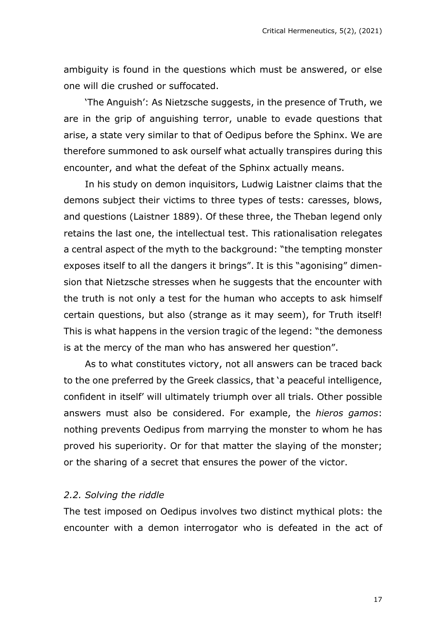ambiguity is found in the questions which must be answered, or else one will die crushed or suffocated.

'The Anguish': As Nietzsche suggests, in the presence of Truth, we are in the grip of anguishing terror, unable to evade questions that arise, a state very similar to that of Oedipus before the Sphinx. We are therefore summoned to ask ourself what actually transpires during this encounter, and what the defeat of the Sphinx actually means.

In his study on demon inquisitors, Ludwig Laistner claims that the demons subject their victims to three types of tests: caresses, blows, and questions (Laistner 1889). Of these three, the Theban legend only retains the last one, the intellectual test. This rationalisation relegates a central aspect of the myth to the background: "the tempting monster exposes itself to all the dangers it brings". It is this "agonising" dimension that Nietzsche stresses when he suggests that the encounter with the truth is not only a test for the human who accepts to ask himself certain questions, but also (strange as it may seem), for Truth itself! This is what happens in the version tragic of the legend: "the demoness is at the mercy of the man who has answered her question".

As to what constitutes victory, not all answers can be traced back to the one preferred by the Greek classics, that 'a peaceful intelligence, confident in itself' will ultimately triumph over all trials. Other possible answers must also be considered. For example, the *hieros gamos*: nothing prevents Oedipus from marrying the monster to whom he has proved his superiority. Or for that matter the slaying of the monster; or the sharing of a secret that ensures the power of the victor.

#### *2.2. Solving the riddle*

The test imposed on Oedipus involves two distinct mythical plots: the encounter with a demon interrogator who is defeated in the act of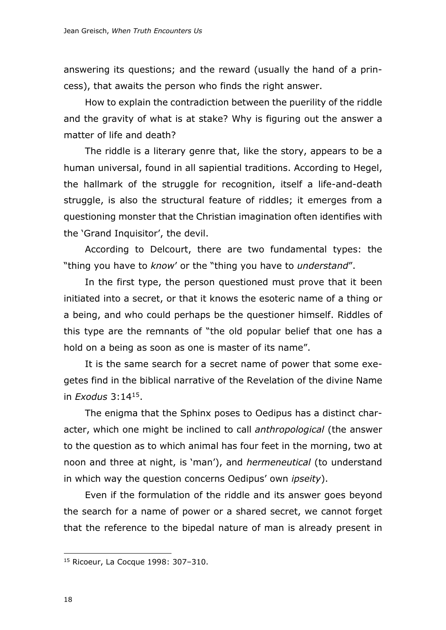answering its questions; and the reward (usually the hand of a princess), that awaits the person who finds the right answer.

How to explain the contradiction between the puerility of the riddle and the gravity of what is at stake? Why is figuring out the answer a matter of life and death?

The riddle is a literary genre that, like the story, appears to be a human universal, found in all sapiential traditions. According to Hegel, the hallmark of the struggle for recognition, itself a life-and-death struggle, is also the structural feature of riddles; it emerges from a questioning monster that the Christian imagination often identifies with the 'Grand Inquisitor', the devil.

According to Delcourt, there are two fundamental types: the "thing you have to *know*' or the "thing you have to *understand*".

In the first type, the person questioned must prove that it been initiated into a secret, or that it knows the esoteric name of a thing or a being, and who could perhaps be the questioner himself. Riddles of this type are the remnants of "the old popular belief that one has a hold on a being as soon as one is master of its name".

It is the same search for a secret name of power that some exegetes find in the biblical narrative of the Revelation of the divine Name in *Exodus* 3:14<sup>15</sup> .

The enigma that the Sphinx poses to Oedipus has a distinct character, which one might be inclined to call *anthropological* (the answer to the question as to which animal has four feet in the morning, two at noon and three at night, is 'man'), and *hermeneutical* (to understand in which way the question concerns Oedipus' own *ipseity*).

Even if the formulation of the riddle and its answer goes beyond the search for a name of power or a shared secret, we cannot forget that the reference to the bipedal nature of man is already present in

<sup>15</sup> Ricoeur, La Cocque 1998: 307–310.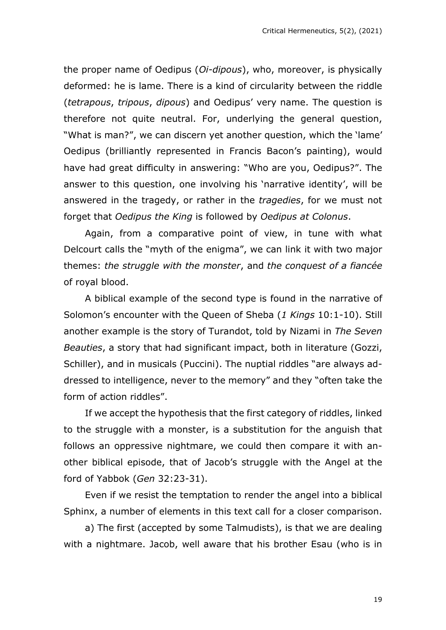the proper name of Oedipus (*Oi-dipous*), who, moreover, is physically deformed: he is lame. There is a kind of circularity between the riddle (*tetrapous*, *tripous*, *dipous*) and Oedipus' very name. The question is therefore not quite neutral. For, underlying the general question, "What is man?", we can discern yet another question, which the 'lame' Oedipus (brilliantly represented in Francis Bacon's painting), would have had great difficulty in answering: "Who are you, Oedipus?". The answer to this question, one involving his 'narrative identity', will be answered in the tragedy, or rather in the *tragedies*, for we must not forget that *Oedipus the King* is followed by *Oedipus at Colonus*.

Again, from a comparative point of view, in tune with what Delcourt calls the "myth of the enigma", we can link it with two major themes: *the struggle with the monster*, and *the conquest of a fiancée* of royal blood.

A biblical example of the second type is found in the narrative of Solomon's encounter with the Queen of Sheba (*1 Kings* 10:1-10). Still another example is the story of Turandot, told by Nizami in *The Seven Beauties*, a story that had significant impact, both in literature (Gozzi, Schiller), and in musicals (Puccini). The nuptial riddles "are always addressed to intelligence, never to the memory" and they "often take the form of action riddles".

If we accept the hypothesis that the first category of riddles, linked to the struggle with a monster, is a substitution for the anguish that follows an oppressive nightmare, we could then compare it with another biblical episode, that of Jacob's struggle with the Angel at the ford of Yabbok (*Gen* 32:23-31).

Even if we resist the temptation to render the angel into a biblical Sphinx, a number of elements in this text call for a closer comparison.

a) The first (accepted by some Talmudists), is that we are dealing with a nightmare. Jacob, well aware that his brother Esau (who is in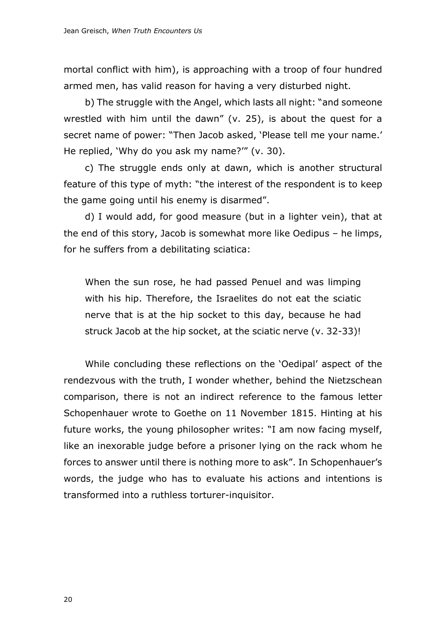mortal conflict with him), is approaching with a troop of four hundred armed men, has valid reason for having a very disturbed night.

b) The struggle with the Angel, which lasts all night: "and someone wrestled with him until the dawn" (v. 25), is about the quest for a secret name of power: "Then Jacob asked, 'Please tell me your name.' He replied, 'Why do you ask my name?'" (v. 30).

c) The struggle ends only at dawn, which is another structural feature of this type of myth: "the interest of the respondent is to keep the game going until his enemy is disarmed".

d) I would add, for good measure (but in a lighter vein), that at the end of this story, Jacob is somewhat more like Oedipus – he limps, for he suffers from a debilitating sciatica:

When the sun rose, he had passed Penuel and was limping with his hip. Therefore, the Israelites do not eat the sciatic nerve that is at the hip socket to this day, because he had struck Jacob at the hip socket, at the sciatic nerve (v. 32-33)!

While concluding these reflections on the 'Oedipal' aspect of the rendezvous with the truth, I wonder whether, behind the Nietzschean comparison, there is not an indirect reference to the famous letter Schopenhauer wrote to Goethe on 11 November 1815. Hinting at his future works, the young philosopher writes: "I am now facing myself, like an inexorable judge before a prisoner lying on the rack whom he forces to answer until there is nothing more to ask". In Schopenhauer's words, the judge who has to evaluate his actions and intentions is transformed into a ruthless torturer-inquisitor.

20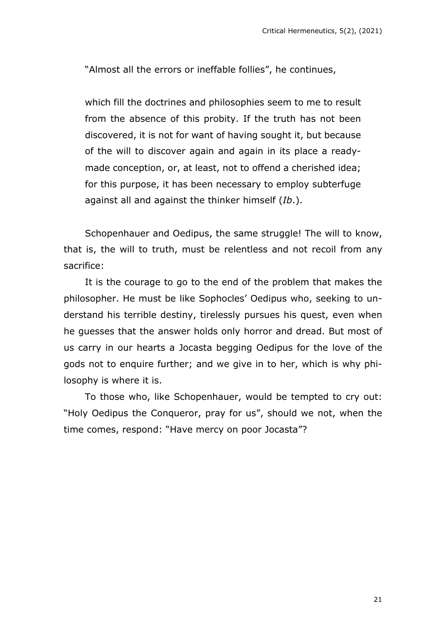"Almost all the errors or ineffable follies", he continues,

which fill the doctrines and philosophies seem to me to result from the absence of this probity. If the truth has not been discovered, it is not for want of having sought it, but because of the will to discover again and again in its place a readymade conception, or, at least, not to offend a cherished idea; for this purpose, it has been necessary to employ subterfuge against all and against the thinker himself (*Ib*.).

Schopenhauer and Oedipus, the same struggle! The will to know, that is, the will to truth, must be relentless and not recoil from any sacrifice:

It is the courage to go to the end of the problem that makes the philosopher. He must be like Sophocles' Oedipus who, seeking to understand his terrible destiny, tirelessly pursues his quest, even when he guesses that the answer holds only horror and dread. But most of us carry in our hearts a Jocasta begging Oedipus for the love of the gods not to enquire further; and we give in to her, which is why philosophy is where it is.

To those who, like Schopenhauer, would be tempted to cry out: "Holy Oedipus the Conqueror, pray for us", should we not, when the time comes, respond: "Have mercy on poor Jocasta"?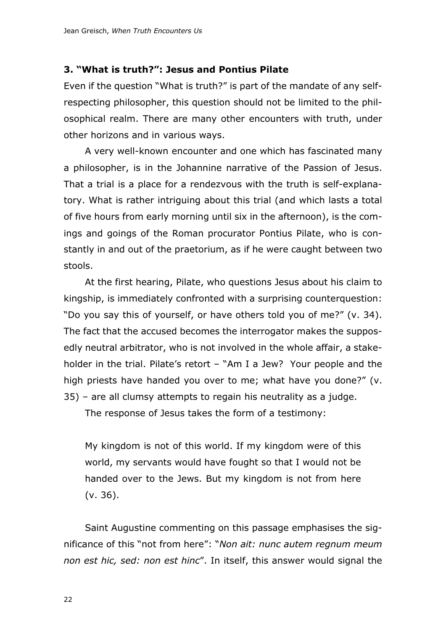#### **3. "What is truth?": Jesus and Pontius Pilate**

Even if the question "What is truth?" is part of the mandate of any selfrespecting philosopher, this question should not be limited to the philosophical realm. There are many other encounters with truth, under other horizons and in various ways.

A very well-known encounter and one which has fascinated many a philosopher, is in the Johannine narrative of the Passion of Jesus. That a trial is a place for a rendezvous with the truth is self-explanatory. What is rather intriguing about this trial (and which lasts a total of five hours from early morning until six in the afternoon), is the comings and goings of the Roman procurator Pontius Pilate, who is constantly in and out of the praetorium, as if he were caught between two stools.

At the first hearing, Pilate, who questions Jesus about his claim to kingship, is immediately confronted with a surprising counterquestion: "Do you say this of yourself, or have others told you of me?" (v. 34). The fact that the accused becomes the interrogator makes the supposedly neutral arbitrator, who is not involved in the whole affair, a stakeholder in the trial. Pilate's retort – "Am I a Jew? Your people and the high priests have handed you over to me; what have you done?" (v. 35) – are all clumsy attempts to regain his neutrality as a judge.

The response of Jesus takes the form of a testimony:

My kingdom is not of this world. If my kingdom were of this world, my servants would have fought so that I would not be handed over to the Jews. But my kingdom is not from here (v. 36).

Saint Augustine commenting on this passage emphasises the significance of this "not from here": "*Non ait: nunc autem regnum meum non est hic, sed: non est hinc*". In itself, this answer would signal the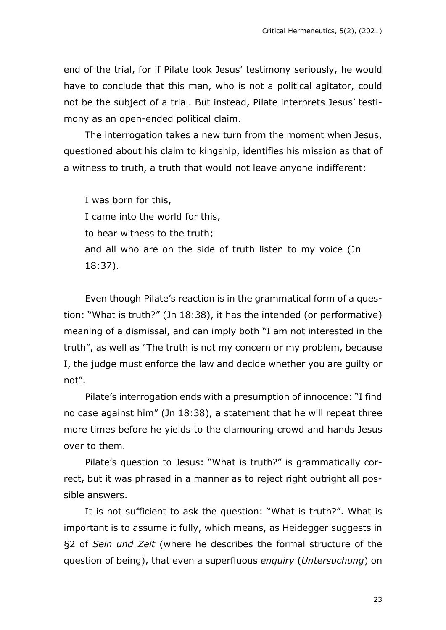end of the trial, for if Pilate took Jesus' testimony seriously, he would have to conclude that this man, who is not a political agitator, could not be the subject of a trial. But instead, Pilate interprets Jesus' testimony as an open-ended political claim.

The interrogation takes a new turn from the moment when Jesus, questioned about his claim to kingship, identifies his mission as that of a witness to truth, a truth that would not leave anyone indifferent:

I was born for this, I came into the world for this, to bear witness to the truth; and all who are on the side of truth listen to my voice (Jn 18:37).

Even though Pilate's reaction is in the grammatical form of a question: "What is truth?" (Jn 18:38), it has the intended (or performative) meaning of a dismissal, and can imply both "I am not interested in the truth", as well as "The truth is not my concern or my problem, because I, the judge must enforce the law and decide whether you are guilty or not".

Pilate's interrogation ends with a presumption of innocence: "I find no case against him" (Jn 18:38), a statement that he will repeat three more times before he yields to the clamouring crowd and hands Jesus over to them.

Pilate's question to Jesus: "What is truth?" is grammatically correct, but it was phrased in a manner as to reject right outright all possible answers.

It is not sufficient to ask the question: "What is truth?". What is important is to assume it fully, which means, as Heidegger suggests in §2 of *Sein und Zeit* (where he describes the formal structure of the question of being), that even a superfluous *enquiry* (*Untersuchung*) on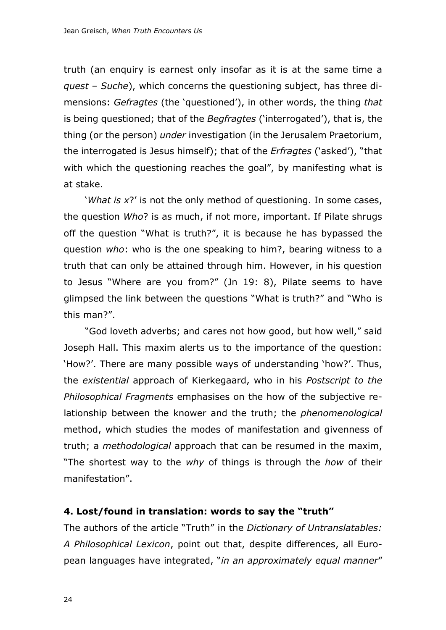truth (an enquiry is earnest only insofar as it is at the same time a *quest* – *Suche*), which concerns the questioning subject, has three dimensions: *Gefragtes* (the 'questioned'), in other words, the thing *that* is being questioned; that of the *Begfragtes* ('interrogated'), that is, the thing (or the person) *under* investigation (in the Jerusalem Praetorium, the interrogated is Jesus himself); that of the *Erfragtes* ('asked'), "that with which the questioning reaches the goal", by manifesting what is at stake.

'*What is x*?' is not the only method of questioning. In some cases, the question *Who*? is as much, if not more, important. If Pilate shrugs off the question "What is truth?", it is because he has bypassed the question *who*: who is the one speaking to him?, bearing witness to a truth that can only be attained through him. However, in his question to Jesus "Where are you from?" (Jn 19: 8), Pilate seems to have glimpsed the link between the questions "What is truth?" and "Who is this man?".

"God loveth adverbs; and cares not how good, but how well," said Joseph Hall. This maxim alerts us to the importance of the question: 'How?'. There are many possible ways of understanding 'how?'. Thus, the *existential* approach of Kierkegaard, who in his *Postscript to the Philosophical Fragments* emphasises on the how of the subjective relationship between the knower and the truth; the *phenomenological* method, which studies the modes of manifestation and givenness of truth; a *methodological* approach that can be resumed in the maxim, "The shortest way to the *why* of things is through the *how* of their manifestation".

#### **4. Lost/found in translation: words to say the "truth"**

The authors of the article "Truth" in the *Dictionary of Untranslatables: A Philosophical Lexicon*, point out that, despite differences, all European languages have integrated, "*in an approximately equal manner*"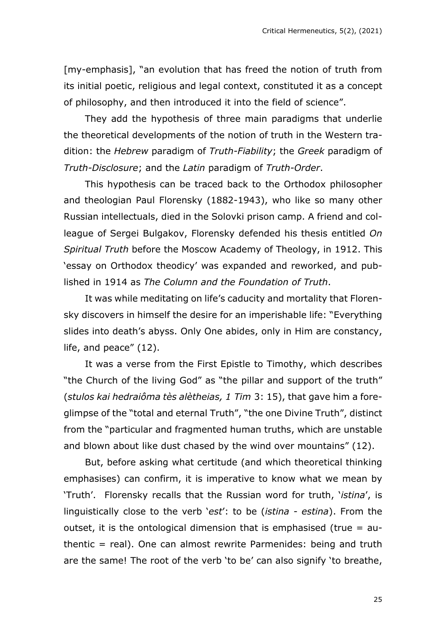[my-emphasis], "an evolution that has freed the notion of truth from its initial poetic, religious and legal context, constituted it as a concept of philosophy, and then introduced it into the field of science".

They add the hypothesis of three main paradigms that underlie the theoretical developments of the notion of truth in the Western tradition: the *Hebrew* paradigm of *Truth-Fiability*; the *Greek* paradigm of *Truth-Disclosure*; and the *Latin* paradigm of *Truth-Order*.

This hypothesis can be traced back to the Orthodox philosopher and theologian Paul Florensky (1882-1943), who like so many other Russian intellectuals, died in the Solovki prison camp. A friend and colleague of Sergei Bulgakov, Florensky defended his thesis entitled *On Spiritual Truth* before the Moscow Academy of Theology, in 1912. This 'essay on Orthodox theodicy' was expanded and reworked, and published in 1914 as *The Column and the Foundation of Truth*.

It was while meditating on life's caducity and mortality that Florensky discovers in himself the desire for an imperishable life: "Everything slides into death's abyss. Only One abides, only in Him are constancy, life, and peace" (12).

It was a verse from the First Epistle to Timothy, which describes "the Church of the living God" as "the pillar and support of the truth" (*stulos kai hedraiôma tès alètheias, 1 Tim* 3: 15), that gave him a foreglimpse of the "total and eternal Truth", "the one Divine Truth", distinct from the "particular and fragmented human truths, which are unstable and blown about like dust chased by the wind over mountains" (12).

But, before asking what certitude (and which theoretical thinking emphasises) can confirm, it is imperative to know what we mean by 'Truth'. Florensky recalls that the Russian word for truth, '*istina*', is linguistically close to the verb '*est*': to be (*istina - estina*). From the outset, it is the ontological dimension that is emphasised (true = authentic = real). One can almost rewrite Parmenides: being and truth are the same! The root of the verb 'to be' can also signify 'to breathe,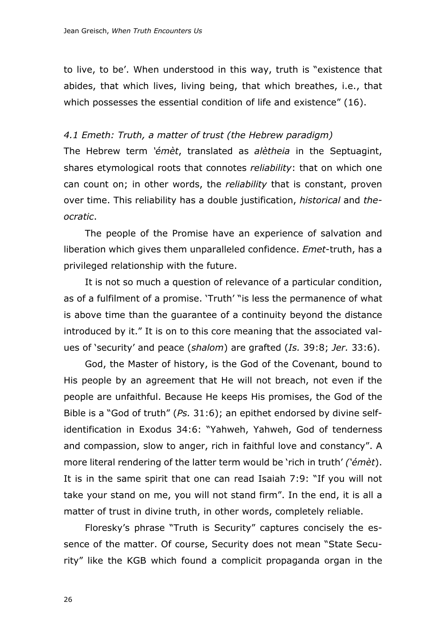to live, to be'. When understood in this way, truth is "existence that abides, that which lives, living being, that which breathes, i.e., that which possesses the essential condition of life and existence" (16).

#### *4.1 Emeth: Truth, a matter of trust (the Hebrew paradigm)*

The Hebrew term *'émèt*, translated as *alètheia* in the Septuagint, shares etymological roots that connotes *reliability*: that on which one can count on; in other words, the *reliability* that is constant, proven over time. This reliability has a double justification, *historical* and *theocratic*.

The people of the Promise have an experience of salvation and liberation which gives them unparalleled confidence. *Emet*-truth, has a privileged relationship with the future.

It is not so much a question of relevance of a particular condition, as of a fulfilment of a promise. 'Truth' "is less the permanence of what is above time than the guarantee of a continuity beyond the distance introduced by it." It is on to this core meaning that the associated values of 'security' and peace (*shalom*) are grafted (*Is.* 39:8; *Jer.* 33:6).

God, the Master of history, is the God of the Covenant, bound to His people by an agreement that He will not breach, not even if the people are unfaithful. Because He keeps His promises, the God of the Bible is a "God of truth" (*Ps.* 31:6); an epithet endorsed by divine selfidentification in Exodus 34:6: "Yahweh, Yahweh, God of tenderness and compassion, slow to anger, rich in faithful love and constancy". A more literal rendering of the latter term would be 'rich in truth' *('émèt*). It is in the same spirit that one can read Isaiah 7:9: "If you will not take your stand on me, you will not stand firm". In the end, it is all a matter of trust in divine truth, in other words, completely reliable.

Floresky's phrase "Truth is Security" captures concisely the essence of the matter. Of course, Security does not mean "State Security" like the KGB which found a complicit propaganda organ in the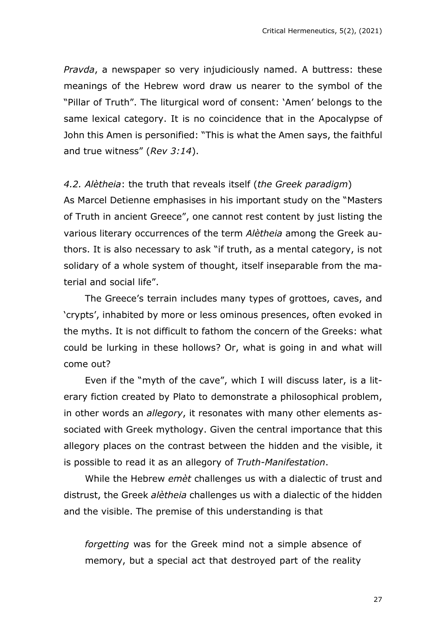*Pravda*, a newspaper so very injudiciously named. A buttress: these meanings of the Hebrew word draw us nearer to the symbol of the "Pillar of Truth". The liturgical word of consent: 'Amen' belongs to the same lexical category. It is no coincidence that in the Apocalypse of John this Amen is personified: "This is what the Amen says, the faithful and true witness" (*Rev 3:14*).

#### *4.2. Alètheia*: the truth that reveals itself (*the Greek paradigm*)

As Marcel Detienne emphasises in his important study on the "Masters of Truth in ancient Greece", one cannot rest content by just listing the various literary occurrences of the term *Alètheia* among the Greek authors. It is also necessary to ask "if truth, as a mental category, is not solidary of a whole system of thought, itself inseparable from the material and social life".

The Greece's terrain includes many types of grottoes, caves, and 'crypts', inhabited by more or less ominous presences, often evoked in the myths. It is not difficult to fathom the concern of the Greeks: what could be lurking in these hollows? Or, what is going in and what will come out?

Even if the "myth of the cave", which I will discuss later, is a literary fiction created by Plato to demonstrate a philosophical problem, in other words an *allegory*, it resonates with many other elements associated with Greek mythology. Given the central importance that this allegory places on the contrast between the hidden and the visible, it is possible to read it as an allegory of *Truth-Manifestation*.

While the Hebrew *emèt* challenges us with a dialectic of trust and distrust, the Greek *alètheia* challenges us with a dialectic of the hidden and the visible. The premise of this understanding is that

*forgetting* was for the Greek mind not a simple absence of memory, but a special act that destroyed part of the reality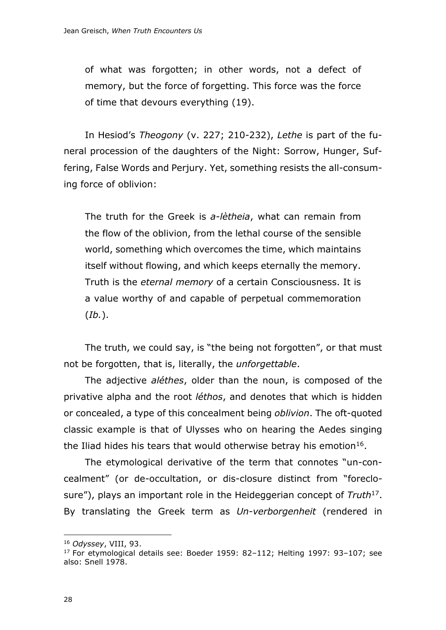of what was forgotten; in other words, not a defect of memory, but the force of forgetting. This force was the force of time that devours everything (19).

In Hesiod's *Theogony* (v. 227; 210-232), *Lethe* is part of the funeral procession of the daughters of the Night: Sorrow, Hunger, Suffering, False Words and Perjury. Yet, something resists the all-consuming force of oblivion:

The truth for the Greek is *a-lètheia*, what can remain from the flow of the oblivion, from the lethal course of the sensible world, something which overcomes the time, which maintains itself without flowing, and which keeps eternally the memory. Truth is the *eternal memory* of a certain Consciousness. It is a value worthy of and capable of perpetual commemoration (*Ib.*).

The truth, we could say, is "the being not forgotten", or that must not be forgotten, that is, literally, the *unforgettable*.

The adjective *aléthes*, older than the noun, is composed of the privative alpha and the root *léthos*, and denotes that which is hidden or concealed, a type of this concealment being *oblivion*. The oft-quoted classic example is that of Ulysses who on hearing the Aedes singing the Iliad hides his tears that would otherwise betray his emotion $16$ .

The etymological derivative of the term that connotes "un-concealment" (or de-occultation, or dis-closure distinct from "foreclosure"), plays an important role in the Heideggerian concept of *Truth*<sup>17</sup>. By translating the Greek term as *Un-verborgenheit* (rendered in

<sup>16</sup> *Odyssey*, VIII, 93.

 $17$  For etymological details see: Boeder 1959: 82-112; Helting 1997: 93-107; see also: Snell 1978.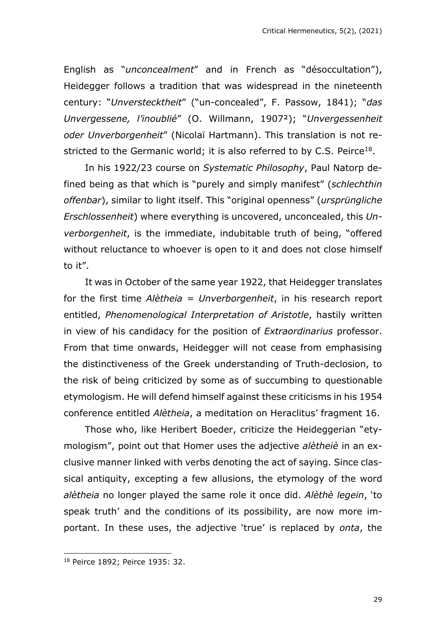English as "*unconcealment*" and in French as "désoccultation"), Heidegger follows a tradition that was widespread in the nineteenth century: "*Unverstecktheit*" ("un-concealed", F. Passow, 1841); "*das Unvergessene, l'inoublié*" (O. Willmann, 1907²); "*Unvergessenheit oder Unverborgenheit*" (Nicolaï Hartmann). This translation is not restricted to the Germanic world; it is also referred to by C.S. Peirce<sup>18</sup>.

In his 1922/23 course on *Systematic Philosophy*, Paul Natorp defined being as that which is "purely and simply manifest" (*schlechthin offenbar*), similar to light itself. This "original openness" (*ursprüngliche Erschlossenheit*) where everything is uncovered, unconcealed, this *Unverborgenheit*, is the immediate, indubitable truth of being, "offered without reluctance to whoever is open to it and does not close himself to it".

It was in October of the same year 1922, that Heidegger translates for the first time *Alètheia* = *Unverborgenheit*, in his research report entitled, *Phenomenological Interpretation of Aristotle*, hastily written in view of his candidacy for the position of *Extraordinarius* professor. From that time onwards, Heidegger will not cease from emphasising the distinctiveness of the Greek understanding of Truth-declosion, to the risk of being criticized by some as of succumbing to questionable etymologism. He will defend himself against these criticisms in his 1954 conference entitled *Alètheia*, a meditation on Heraclitus' fragment 16.

Those who, like Heribert Boeder, criticize the Heideggerian "etymologism", point out that Homer uses the adjective *alètheiè* in an exclusive manner linked with verbs denoting the act of saying. Since classical antiquity, excepting a few allusions, the etymology of the word *alètheia* no longer played the same role it once did. *Alèthè legein*, 'to speak truth' and the conditions of its possibility, are now more important. In these uses, the adjective 'true' is replaced by *onta*, the

<sup>18</sup> Peirce 1892; Peirce 1935: 32.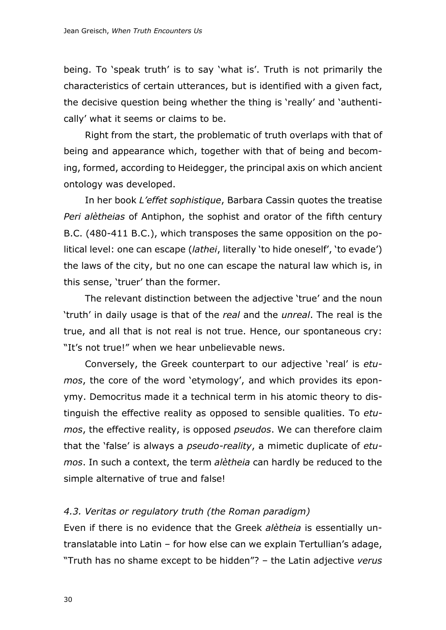being. To 'speak truth' is to say 'what is'. Truth is not primarily the characteristics of certain utterances, but is identified with a given fact, the decisive question being whether the thing is 'really' and 'authentically' what it seems or claims to be.

Right from the start, the problematic of truth overlaps with that of being and appearance which, together with that of being and becoming, formed, according to Heidegger, the principal axis on which ancient ontology was developed.

In her book *L'effet sophistique*, Barbara Cassin quotes the treatise *Peri alètheias* of Antiphon, the sophist and orator of the fifth century B.C. (480-411 B.C.), which transposes the same opposition on the political level: one can escape (*lathei*, literally 'to hide oneself', 'to evade') the laws of the city, but no one can escape the natural law which is, in this sense, 'truer' than the former.

The relevant distinction between the adjective 'true' and the noun 'truth' in daily usage is that of the *real* and the *unreal*. The real is the true, and all that is not real is not true. Hence, our spontaneous cry: "It's not true!" when we hear unbelievable news.

Conversely, the Greek counterpart to our adjective 'real' is *etumos*, the core of the word 'etymology', and which provides its eponymy. Democritus made it a technical term in his atomic theory to distinguish the effective reality as opposed to sensible qualities. To *etumos*, the effective reality, is opposed *pseudos*. We can therefore claim that the 'false' is always a *pseudo-reality*, a mimetic duplicate of *etumos*. In such a context, the term *alètheia* can hardly be reduced to the simple alternative of true and false!

#### *4.3. Veritas or regulatory truth (the Roman paradigm)*

Even if there is no evidence that the Greek *alètheia* is essentially untranslatable into Latin – for how else can we explain Tertullian's adage, "Truth has no shame except to be hidden"? – the Latin adjective *verus*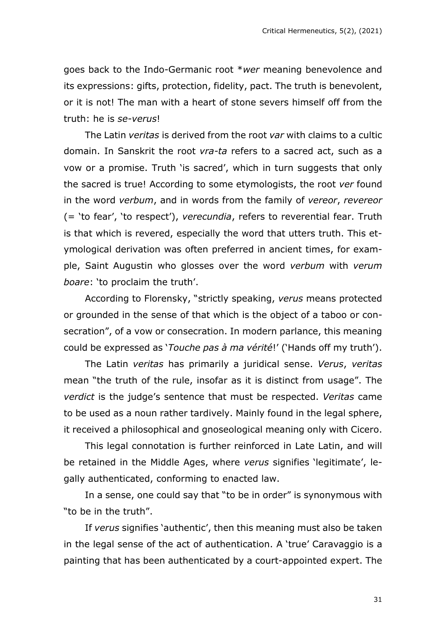goes back to the Indo-Germanic root \**wer* meaning benevolence and its expressions: gifts, protection, fidelity, pact. The truth is benevolent, or it is not! The man with a heart of stone severs himself off from the truth: he is *se-verus*!

The Latin *veritas* is derived from the root *var* with claims to a cultic domain. In Sanskrit the root *vra-ta* refers to a sacred act, such as a vow or a promise. Truth 'is sacred', which in turn suggests that only the sacred is true! According to some etymologists, the root *ver* found in the word *verbum*, and in words from the family of *vereor*, *revereor* (= 'to fear', 'to respect'), *verecundia*, refers to reverential fear. Truth is that which is revered, especially the word that utters truth. This etymological derivation was often preferred in ancient times, for example, Saint Augustin who glosses over the word *verbum* with *verum boare*: 'to proclaim the truth'.

According to Florensky, "strictly speaking, *verus* means protected or grounded in the sense of that which is the object of a taboo or consecration", of a vow or consecration. In modern parlance, this meaning could be expressed as '*Touche pas à ma vérité*!' ('Hands off my truth').

The Latin *veritas* has primarily a juridical sense. *Verus*, *veritas* mean "the truth of the rule, insofar as it is distinct from usage". The *verdict* is the judge's sentence that must be respected. *Veritas* came to be used as a noun rather tardively. Mainly found in the legal sphere, it received a philosophical and gnoseological meaning only with Cicero.

This legal connotation is further reinforced in Late Latin, and will be retained in the Middle Ages, where *verus* signifies 'legitimate', legally authenticated, conforming to enacted law.

In a sense, one could say that "to be in order" is synonymous with "to be in the truth".

If *verus* signifies 'authentic', then this meaning must also be taken in the legal sense of the act of authentication. A 'true' Caravaggio is a painting that has been authenticated by a court-appointed expert. The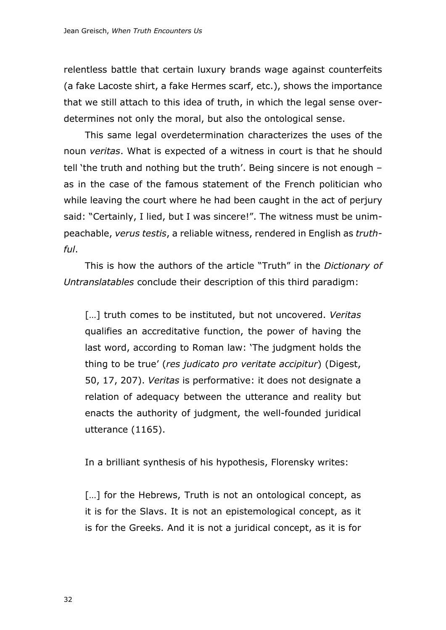relentless battle that certain luxury brands wage against counterfeits (a fake Lacoste shirt, a fake Hermes scarf, etc.), shows the importance that we still attach to this idea of truth, in which the legal sense overdetermines not only the moral, but also the ontological sense.

This same legal overdetermination characterizes the uses of the noun *veritas*. What is expected of a witness in court is that he should tell 'the truth and nothing but the truth'. Being sincere is not enough – as in the case of the famous statement of the French politician who while leaving the court where he had been caught in the act of perjury said: "Certainly, I lied, but I was sincere!". The witness must be unimpeachable, *verus testis*, a reliable witness, rendered in English as *truthful*.

This is how the authors of the article "Truth" in the *Dictionary of Untranslatables* conclude their description of this third paradigm:

[…] truth comes to be instituted, but not uncovered. *Veritas* qualifies an accreditative function, the power of having the last word, according to Roman law: 'The judgment holds the thing to be true' (*res judicato pro veritate accipitur*) (Digest, 50, 17, 207). *Veritas* is performative: it does not designate a relation of adequacy between the utterance and reality but enacts the authority of judgment, the well-founded juridical utterance (1165).

In a brilliant synthesis of his hypothesis, Florensky writes:

[...] for the Hebrews, Truth is not an ontological concept, as it is for the Slavs. It is not an epistemological concept, as it is for the Greeks. And it is not a juridical concept, as it is for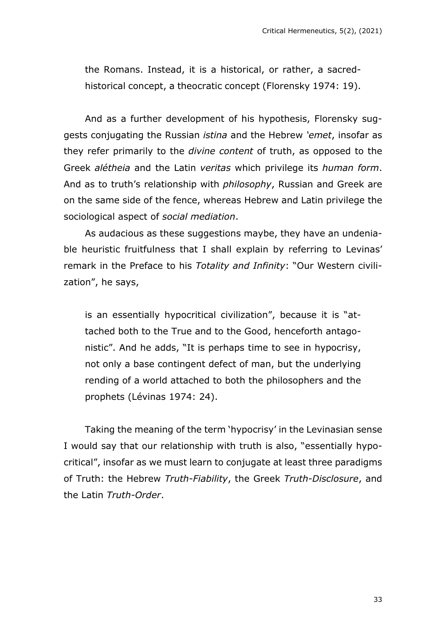the Romans. Instead, it is a historical, or rather, a sacredhistorical concept, a theocratic concept (Florensky 1974: 19).

And as a further development of his hypothesis, Florensky suggests conjugating the Russian *istina* and the Hebrew *'emet*, insofar as they refer primarily to the *divine content* of truth, as opposed to the Greek *alétheia* and the Latin *veritas* which privilege its *human form*. And as to truth's relationship with *philosophy*, Russian and Greek are on the same side of the fence, whereas Hebrew and Latin privilege the sociological aspect of *social mediation*.

As audacious as these suggestions maybe, they have an undeniable heuristic fruitfulness that I shall explain by referring to Levinas' remark in the Preface to his *Totality and Infinity*: "Our Western civilization", he says,

is an essentially hypocritical civilization", because it is "attached both to the True and to the Good, henceforth antagonistic". And he adds, "It is perhaps time to see in hypocrisy, not only a base contingent defect of man, but the underlying rending of a world attached to both the philosophers and the prophets (Lévinas 1974: 24).

Taking the meaning of the term 'hypocrisy' in the Levinasian sense I would say that our relationship with truth is also, "essentially hypocritical", insofar as we must learn to conjugate at least three paradigms of Truth: the Hebrew *Truth-Fiability*, the Greek *Truth-Disclosure*, and the Latin *Truth-Order*.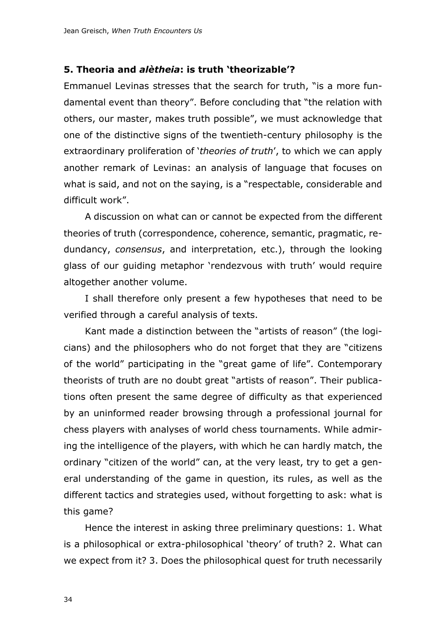#### **5. Theoria and** *alètheia***: is truth 'theorizable'?**

Emmanuel Levinas stresses that the search for truth, "is a more fundamental event than theory". Before concluding that "the relation with others, our master, makes truth possible", we must acknowledge that one of the distinctive signs of the twentieth-century philosophy is the extraordinary proliferation of '*theories of truth*', to which we can apply another remark of Levinas: an analysis of language that focuses on what is said, and not on the saying, is a "respectable, considerable and difficult work".

A discussion on what can or cannot be expected from the different theories of truth (correspondence, coherence, semantic, pragmatic, redundancy, *consensus*, and interpretation, etc.), through the looking glass of our guiding metaphor 'rendezvous with truth' would require altogether another volume.

I shall therefore only present a few hypotheses that need to be verified through a careful analysis of texts.

Kant made a distinction between the "artists of reason" (the logicians) and the philosophers who do not forget that they are "citizens of the world" participating in the "great game of life". Contemporary theorists of truth are no doubt great "artists of reason". Their publications often present the same degree of difficulty as that experienced by an uninformed reader browsing through a professional journal for chess players with analyses of world chess tournaments. While admiring the intelligence of the players, with which he can hardly match, the ordinary "citizen of the world" can, at the very least, try to get a general understanding of the game in question, its rules, as well as the different tactics and strategies used, without forgetting to ask: what is this game?

Hence the interest in asking three preliminary questions: 1. What is a philosophical or extra-philosophical 'theory' of truth? 2. What can we expect from it? 3. Does the philosophical quest for truth necessarily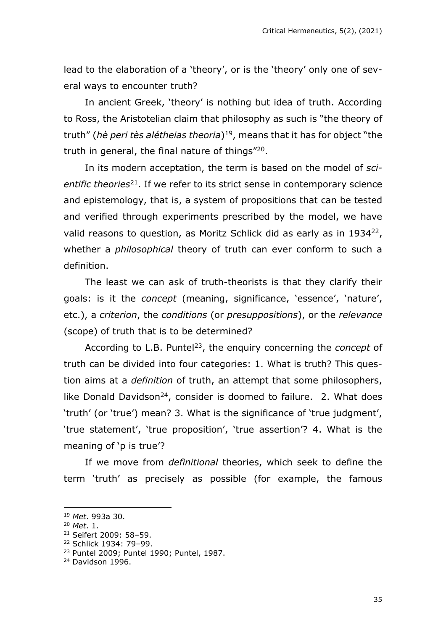lead to the elaboration of a 'theory', or is the 'theory' only one of several ways to encounter truth?

In ancient Greek, 'theory' is nothing but idea of truth. According to Ross, the Aristotelian claim that philosophy as such is "the theory of truth" (*hè peri tès alétheias theoria*) 19 , means that it has for object "the truth in general, the final nature of things"<sup>20</sup>.

In its modern acceptation, the term is based on the model of *sci*entific theories<sup>21</sup>. If we refer to its strict sense in contemporary science and epistemology, that is, a system of propositions that can be tested and verified through experiments prescribed by the model, we have valid reasons to question, as Moritz Schlick did as early as in  $1934^{22}$ , whether a *philosophical* theory of truth can ever conform to such a definition.

The least we can ask of truth-theorists is that they clarify their goals: is it the *concept* (meaning, significance, 'essence', 'nature', etc.), a *criterion*, the *conditions* (or *presuppositions*), or the *relevance* (scope) of truth that is to be determined?

According to L.B. Puntel<sup>23</sup>, the enquiry concerning the *concept* of truth can be divided into four categories: 1. What is truth? This question aims at a *definition* of truth, an attempt that some philosophers, like Donald Davidson<sup>24</sup>, consider is doomed to failure. 2. What does 'truth' (or 'true') mean? 3. What is the significance of 'true judgment', 'true statement', 'true proposition', 'true assertion'? 4. What is the meaning of 'p is true'?

If we move from *definitional* theories, which seek to define the term 'truth' as precisely as possible (for example, the famous

<sup>19</sup> *Met*. 993a 30.

<sup>20</sup> *Met*. 1.

<sup>21</sup> Seifert 2009: 58–59.

<sup>22</sup> Schlick 1934: 79–99.

<sup>23</sup> Puntel 2009; Puntel 1990; Puntel, 1987.

<sup>24</sup> Davidson 1996.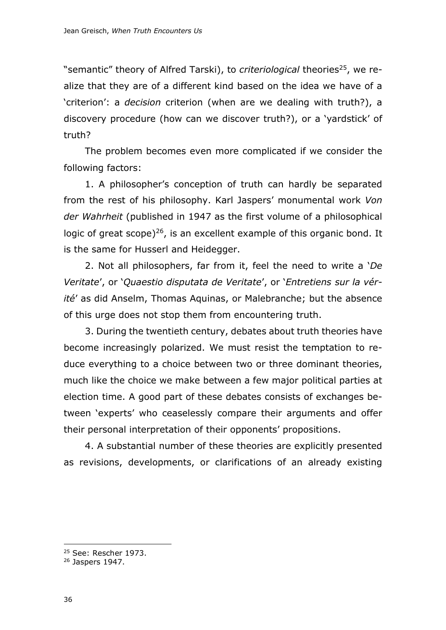"semantic" theory of Alfred Tarski), to *criteriological* theories<sup>25</sup>, we realize that they are of a different kind based on the idea we have of a 'criterion': a *decision* criterion (when are we dealing with truth?), a discovery procedure (how can we discover truth?), or a 'yardstick' of truth?

The problem becomes even more complicated if we consider the following factors:

1. A philosopher's conception of truth can hardly be separated from the rest of his philosophy. Karl Jaspers' monumental work *Von der Wahrheit* (published in 1947 as the first volume of a philosophical logic of great scope)<sup>26</sup>, is an excellent example of this organic bond. It is the same for Husserl and Heidegger.

2. Not all philosophers, far from it, feel the need to write a '*De Veritate*', or '*Quaestio disputata de Veritate*', or '*Entretiens sur la vérité*' as did Anselm, Thomas Aquinas, or Malebranche; but the absence of this urge does not stop them from encountering truth.

3. During the twentieth century, debates about truth theories have become increasingly polarized. We must resist the temptation to reduce everything to a choice between two or three dominant theories, much like the choice we make between a few major political parties at election time. A good part of these debates consists of exchanges between 'experts' who ceaselessly compare their arguments and offer their personal interpretation of their opponents' propositions.

4. A substantial number of these theories are explicitly presented as revisions, developments, or clarifications of an already existing

<sup>&</sup>lt;sup>25</sup> See: Rescher 1973.

<sup>26</sup> Jaspers 1947.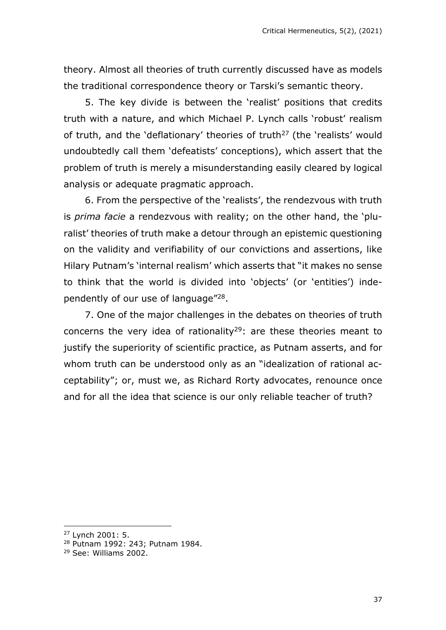theory. Almost all theories of truth currently discussed have as models the traditional correspondence theory or Tarski's semantic theory.

5. The key divide is between the 'realist' positions that credits truth with a nature, and which Michael P. Lynch calls 'robust' realism of truth, and the 'deflationary' theories of truth<sup>27</sup> (the 'realists' would undoubtedly call them 'defeatists' conceptions), which assert that the problem of truth is merely a misunderstanding easily cleared by logical analysis or adequate pragmatic approach.

6. From the perspective of the 'realists', the rendezvous with truth is *prima facie* a rendezvous with reality; on the other hand, the 'pluralist' theories of truth make a detour through an epistemic questioning on the validity and verifiability of our convictions and assertions, like Hilary Putnam's 'internal realism' which asserts that "it makes no sense to think that the world is divided into 'objects' (or 'entities') independently of our use of language"<sup>28</sup>.

7. One of the major challenges in the debates on theories of truth concerns the very idea of rationality<sup>29</sup>: are these theories meant to justify the superiority of scientific practice, as Putnam asserts, and for whom truth can be understood only as an "idealization of rational acceptability"; or, must we, as Richard Rorty advocates, renounce once and for all the idea that science is our only reliable teacher of truth?

<sup>27</sup> Lynch 2001: 5.

<sup>28</sup> Putnam 1992: 243; Putnam 1984.

<sup>29</sup> See: Williams 2002.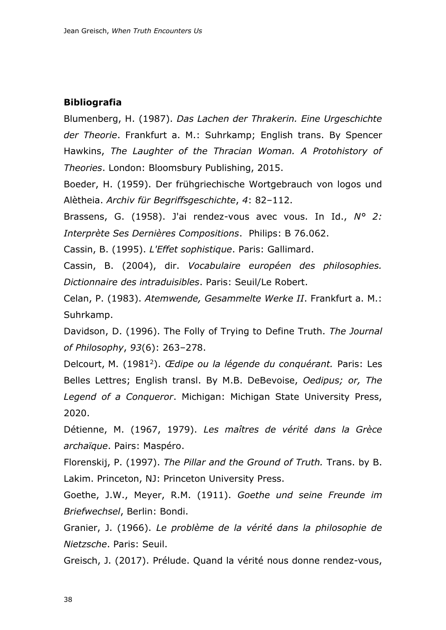### **Bibliografia**

Blumenberg, H. (1987). *Das Lachen der Thrakerin. Eine Urgeschichte der Theorie*. Frankfurt a. M.: Suhrkamp; English trans. By Spencer Hawkins, *The Laughter of the Thracian Woman. A Protohistory of Theories*. London: Bloomsbury Publishing, 2015.

Boeder, H. (1959). Der frühgriechische Wortgebrauch von logos und Alètheia. *Archiv für Begriffsgeschichte*, *4*: 82–112.

Brassens, G. (1958). J'ai rendez-vous avec vous. In Id., *N° 2: Interprète Ses Dernières Compositions*. Philips: B 76.062.

Cassin, B. (1995). *L'Effet sophistique*. Paris: Gallimard.

Cassin, B. (2004), dir. *Vocabulaire européen des philosophies. Dictionnaire des intraduisibles*. Paris: Seuil/Le Robert.

Celan, P. (1983). *Atemwende, Gesammelte Werke II*. Frankfurt a. M.: Suhrkamp.

Davidson, D. (1996). The Folly of Trying to Define Truth. *The Journal of Philosophy*, *93*(6): 263–278.

Delcourt, M. (1981<sup>2</sup>). *Œdipe ou la légende du conquérant.* Paris: Les Belles Lettres; English transl. By M.B. DeBevoise, *Oedipus; or, The Legend of a Conqueror*. Michigan: Michigan State University Press, 2020.

Détienne, M. (1967, 1979). *Les maîtres de vérité dans la Grèce archaïque*. Pairs: Maspéro.

Florenskij, P. (1997). *The Pillar and the Ground of Truth.* Trans. by B. Lakim. Princeton, NJ: Princeton University Press.

Goethe, J.W., Meyer, R.M. (1911). *Goethe und seine Freunde im Briefwechsel*, Berlin: Bondi.

Granier, J. (1966). *Le problème de la vérité dans la philosophie de Nietzsche*. Paris: Seuil.

Greisch, J. (2017). Prélude. Quand la vérité nous donne rendez-vous,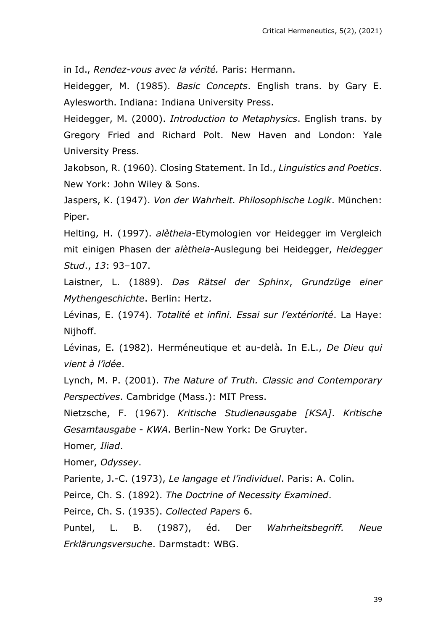in Id., *Rendez-vous avec la vérité.* Paris: Hermann.

Heidegger, M. (1985). *Basic Concepts*. English trans. by Gary E. Aylesworth. Indiana: Indiana University Press.

Heidegger, M. (2000). *Introduction to Metaphysics*. English trans. by Gregory Fried and Richard Polt. New Haven and London: Yale University Press.

Jakobson, R. (1960). Closing Statement. In Id., *Linguistics and Poetics*. New York: John Wiley & Sons.

Jaspers, K. (1947). *Von der Wahrheit. Philosophische Logik*. München: Piper.

Helting, H. (1997). *alètheia*-Etymologien vor Heidegger im Vergleich mit einigen Phasen der *alètheia*-Auslegung bei Heidegger, *Heidegger Stud*., *13*: 93–107.

Laistner, L. (1889). *Das Rätsel der Sphinx*, *Grundzüge einer Mythengeschichte*. Berlin: Hertz.

Lévinas, E. (1974). *Totalité et infini. Essai sur l'extériorité*. La Haye: Nijhoff.

Lévinas, E. (1982). Herméneutique et au-delà. In E.L., *De Dieu qui vient à l'idée*.

Lynch, M. P. (2001). *The Nature of Truth. Classic and Contemporary Perspectives*. Cambridge (Mass.): MIT Press.

Nietzsche, F. (1967). *Kritische Studienausgabe [KSA]*. *Kritische Gesamtausgabe* - *KWA*. Berlin-New York: De Gruyter.

Homer*, Iliad*.

Homer, *Odyssey*.

Pariente, J.-C. (1973), *Le langage et l'individuel*. Paris: A. Colin.

Peirce, Ch. S. (1892). *The Doctrine of Necessity Examined*.

Peirce, Ch. S. (1935). *Collected Papers* 6.

Puntel, L. B. (1987), éd. Der *Wahrheitsbegriff. Neue Erklärungsversuche*. Darmstadt: WBG.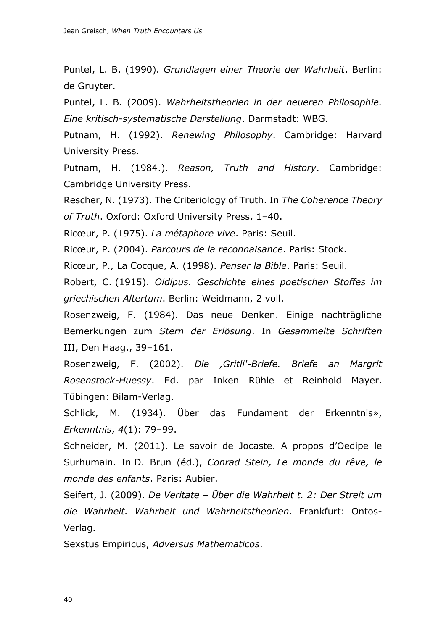Puntel, L. B. (1990). *Grundlagen einer Theorie der Wahrheit*. Berlin: de Gruyter.

Puntel, L. B. (2009). *Wahrheitstheorien in der neueren Philosophie. Eine kritisch-systematische Darstellung*. Darmstadt: WBG.

Putnam, H. (1992). *Renewing Philosophy*. Cambridge: Harvard University Press.

Putnam, H. (1984.). *Reason, Truth and History*. Cambridge: Cambridge University Press.

Rescher, N. (1973). The Criteriology of Truth. In *The Coherence Theory of Truth*. Oxford: Oxford University Press, 1–40.

Ricœur, P. (1975). *La métaphore vive*. Paris: Seuil.

Ricœur, P. (2004). *Parcours de la reconnaisance*. Paris: Stock.

Ricœur, P., La Cocque, A. (1998). *Penser la Bible*. Paris: Seuil.

Robert, C. (1915). *Oidipus. Geschichte eines poetischen Stoffes im griechischen Altertum*. Berlin: Weidmann, 2 voll.

Rosenzweig, F. (1984). Das neue Denken. Einige nachträgliche Bemerkungen zum *Stern der Erlösung*. In *Gesammelte Schriften* III, Den Haag., 39–161.

Rosenzweig, F. (2002). *Die ,Gritli'-Briefe. Briefe an Margrit Rosenstock-Huessy*. Ed. par Inken Rühle et Reinhold Mayer. Tübingen: Bilam-Verlag.

Schlick, M. (1934). Über das Fundament der Erkenntnis», *Erkenntnis*, *4*(1): 79–99.

Schneider, M. (2011). Le savoir de Jocaste. A propos d'Oedipe le Surhumain. In D. Brun (éd.), *Conrad Stein, Le monde du rêve, le monde des enfants*. Paris: Aubier.

Seifert, J. (2009). *De Veritate – Über die Wahrheit t. 2: Der Streit um die Wahrheit. Wahrheit und Wahrheitstheorien*. Frankfurt: Ontos-Verlag.

Sexstus Empiricus, *Adversus Mathematicos*.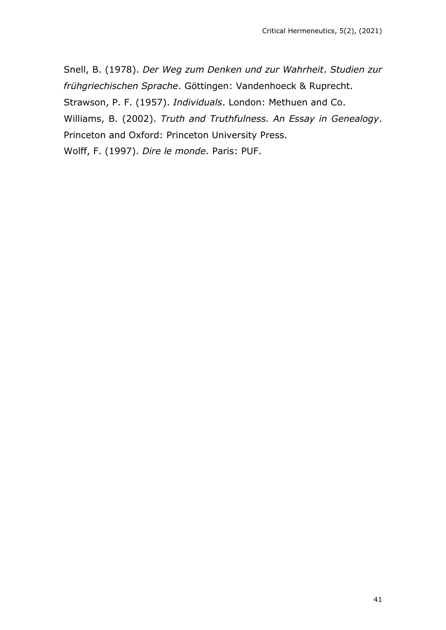Snell, B. (1978). *Der Weg zum Denken und zur Wahrheit*. *Studien zur frühgriechischen Sprache*. Göttingen: Vandenhoeck & Ruprecht. Strawson, P. F. (1957). *Individuals*. London: Methuen and Co. Williams, B. (2002). *Truth and Truthfulness. An Essay in Genealogy*. Princeton and Oxford: Princeton University Press. Wolff, F. (1997). *Dire le monde*. Paris: PUF.